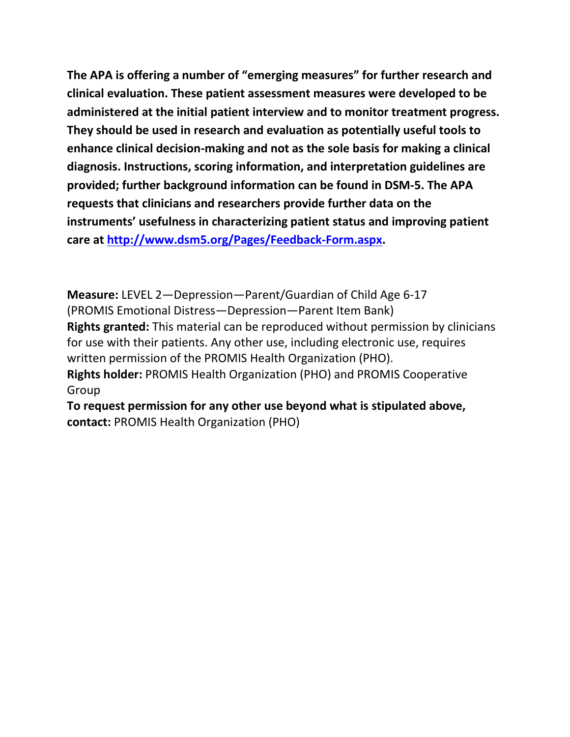**The APA is offering a number of "emerging measures" for further research and clinical evaluation. These patient assessment measures were developed to be administered at the initial patient interview and to monitor treatment progress. They should be used in research and evaluation as potentially useful tools to enhance clinical decision-making and not as the sole basis for making a clinical diagnosis. Instructions, scoring information, and interpretation guidelines are provided; further background information can be found in DSM-5. The APA requests that clinicians and researchers provide further data on the instruments' usefulness in characterizing patient status and improving patient care at [http://www.dsm5.org/Pages/Feedback-Form.aspx.](http://www.dsm5.org/Pages/Feedback-Form.aspx)**

**Measure:** LEVEL 2—Depression—Parent/Guardian of Child Age 6-17 (PROMIS Emotional Distress—Depression—Parent Item Bank) **Rights granted:** This material can be reproduced without permission by clinicians for use with their patients. Any other use, including electronic use, requires written permission of the PROMIS Health Organization (PHO). **Rights holder:** PROMIS Health Organization (PHO) and PROMIS Cooperative Group

**To request permission for any other use beyond what is stipulated above, contact:** PROMIS Health Organization (PHO)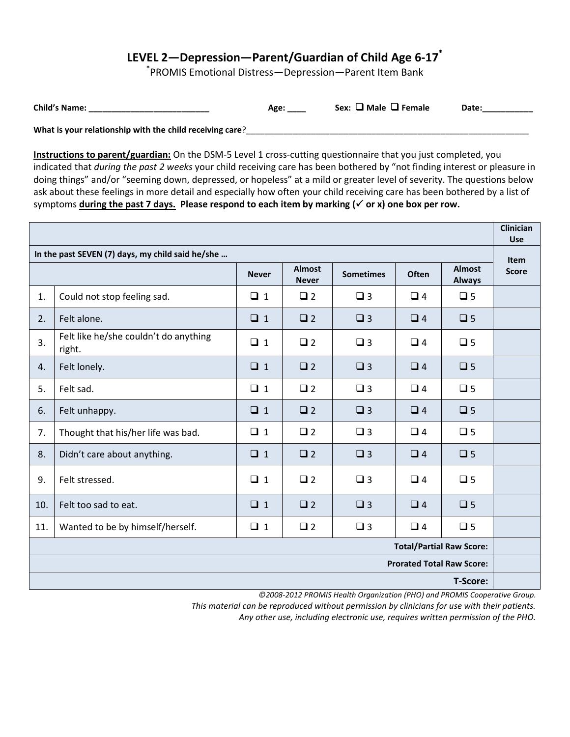## **LEVEL 2—Depression—Parent/Guardian of Child Age 6-17\***

\* PROMIS Emotional Distress—Depression—Parent Item Bank

| Date:<br>Sex:<br>$\sqcup$ Female<br>Age | <b>Child's Name:</b> |  | ' Male |  |
|-----------------------------------------|----------------------|--|--------|--|
|-----------------------------------------|----------------------|--|--------|--|

**What is your relationship with the child receiving care**?\_\_\_\_\_\_\_\_\_\_\_\_\_\_\_\_\_\_\_\_\_\_\_\_\_\_\_\_\_\_\_\_\_\_\_\_\_\_\_\_\_\_\_\_\_\_\_\_\_\_\_\_\_\_\_\_\_\_\_\_\_

**Instructions to parent/guardian:** On the DSM-5 Level 1 cross-cutting questionnaire that you just completed, you indicated that *during the past 2 weeks* your child receiving care has been bothered by "not finding interest or pleasure in doing things" and/or "seeming down, depressed, or hopeless" at a mild or greater level of severity. The questions below ask about these feelings in more detail and especially how often your child receiving care has been bothered by a list of symptoms **during the past 7 days. Please respond to each item by marking ( or x) one box per row.** 

|                                                                                      |                                                 |              |                               |                  |          |                                | <b>Clinician</b><br><b>Use</b> |
|--------------------------------------------------------------------------------------|-------------------------------------------------|--------------|-------------------------------|------------------|----------|--------------------------------|--------------------------------|
| In the past SEVEN (7) days, my child said he/she                                     |                                                 |              |                               |                  |          | <b>Item</b>                    |                                |
|                                                                                      |                                                 | <b>Never</b> | <b>Almost</b><br><b>Never</b> | <b>Sometimes</b> | Often    | <b>Almost</b><br><b>Always</b> | <b>Score</b>                   |
| 1.                                                                                   | Could not stop feeling sad.                     | $\Box$ 1     | $\Box$ 2                      | $\square$ 3      | $\Box$ 4 | $\square$ 5                    |                                |
| 2.                                                                                   | Felt alone.                                     | $\Box$ 1     | $\Box$ 2                      | $\square$ 3      | $\Box$ 4 | $\square$ 5                    |                                |
| 3.                                                                                   | Felt like he/she couldn't do anything<br>right. | $\Box$ 1     | $\square$ 2                   | $\Box$ 3         | $\Box$ 4 | $\square$ 5                    |                                |
| 4.                                                                                   | Felt lonely.                                    | $\Box$ 1     | $\square$ 2                   | $\square$ 3      | $\Box$ 4 | $\square$ 5                    |                                |
| 5.                                                                                   | Felt sad.                                       | $\Box$ 1     | $\Box$ 2                      | $\square$ 3      | $\Box$ 4 | $\square$ 5                    |                                |
| 6.                                                                                   | Felt unhappy.                                   | $\Box$ 1     | $\Box$ 2                      | $\square$ 3      | $\Box$ 4 | $\square$ 5                    |                                |
| 7.                                                                                   | Thought that his/her life was bad.              | $\Box$ 1     | $\Box$ 2                      | $\square$ 3      | $\Box$ 4 | $\Box$ 5                       |                                |
| 8.                                                                                   | Didn't care about anything.                     | $\Box$ 1     | $\square$ 2                   | $\square$ 3      | $\Box$ 4 | $\square$ 5                    |                                |
| 9.                                                                                   | Felt stressed.                                  | $\Box$ 1     | $\square$ 2                   | $\square$ 3      | $\Box$ 4 | $\square$ 5                    |                                |
| 10.                                                                                  | Felt too sad to eat.                            | $\Box$ 1     | $\Box$ 2                      | $\Box$ 3         | $\Box$ 4 | $\square$ 5                    |                                |
| 11.                                                                                  | Wanted to be by himself/herself.                | $\Box$ 1     | $\square$ 2                   | $\square$ 3      | $\Box$ 4 | $\Box$ 5                       |                                |
| <b>Total/Partial Raw Score:</b>                                                      |                                                 |              |                               |                  |          |                                |                                |
| <b>Prorated Total Raw Score:</b>                                                     |                                                 |              |                               |                  |          |                                |                                |
| T-Score:<br>©2008-2012 PROMIS Health Organization (PHO) and PROMIS Cooperative Group |                                                 |              |                               |                  |          |                                |                                |

*©2008-2012 PROMIS Health Organization (PHO) and PROMIS Cooperative Group. This material can be reproduced without permission by clinicians for use with their patients.*

*Any other use, including electronic use, requires written permission of the PHO.*